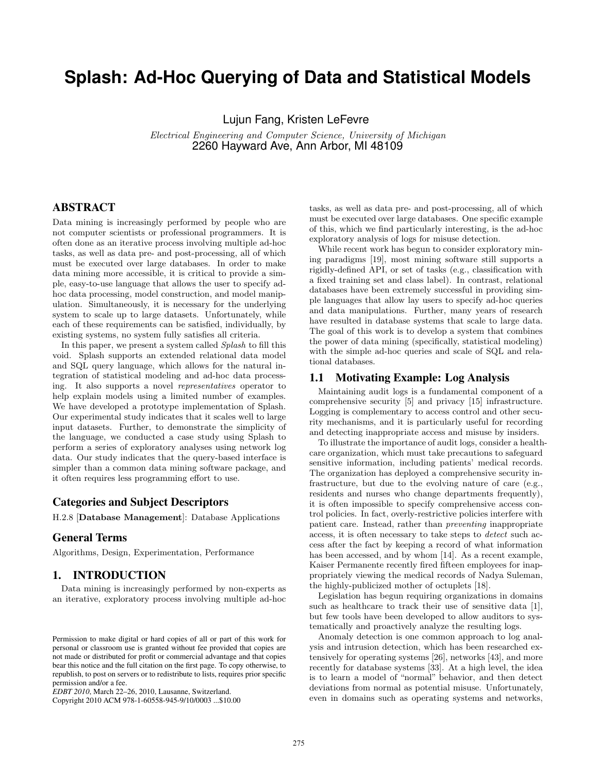# **Splash: Ad-Hoc Querying of Data and Statistical Models**

Lujun Fang, Kristen LeFevre

Electrical Engineering and Computer Science, University of Michigan 2260 Hayward Ave, Ann Arbor, MI 48109

# ABSTRACT

Data mining is increasingly performed by people who are not computer scientists or professional programmers. It is often done as an iterative process involving multiple ad-hoc tasks, as well as data pre- and post-processing, all of which must be executed over large databases. In order to make data mining more accessible, it is critical to provide a simple, easy-to-use language that allows the user to specify adhoc data processing, model construction, and model manipulation. Simultaneously, it is necessary for the underlying system to scale up to large datasets. Unfortunately, while each of these requirements can be satisfied, individually, by existing systems, no system fully satisfies all criteria.

In this paper, we present a system called Splash to fill this void. Splash supports an extended relational data model and SQL query language, which allows for the natural integration of statistical modeling and ad-hoc data processing. It also supports a novel representatives operator to help explain models using a limited number of examples. We have developed a prototype implementation of Splash. Our experimental study indicates that it scales well to large input datasets. Further, to demonstrate the simplicity of the language, we conducted a case study using Splash to perform a series of exploratory analyses using network log data. Our study indicates that the query-based interface is simpler than a common data mining software package, and it often requires less programming effort to use.

# Categories and Subject Descriptors

H.2.8 [Database Management]: Database Applications

# General Terms

Algorithms, Design, Experimentation, Performance

# 1. INTRODUCTION

Data mining is increasingly performed by non-experts as an iterative, exploratory process involving multiple ad-hoc

Copyright 2010 ACM 978-1-60558-945-9/10/0003 ...\$10.00

tasks, as well as data pre- and post-processing, all of which must be executed over large databases. One specific example of this, which we find particularly interesting, is the ad-hoc exploratory analysis of logs for misuse detection.

While recent work has begun to consider exploratory mining paradigms [19], most mining software still supports a rigidly-defined API, or set of tasks (e.g., classification with a fixed training set and class label). In contrast, relational databases have been extremely successful in providing simple languages that allow lay users to specify ad-hoc queries and data manipulations. Further, many years of research have resulted in database systems that scale to large data. The goal of this work is to develop a system that combines the power of data mining (specifically, statistical modeling) with the simple ad-hoc queries and scale of SQL and relational databases.

#### 1.1 Motivating Example: Log Analysis

Maintaining audit logs is a fundamental component of a comprehensive security [5] and privacy [15] infrastructure. Logging is complementary to access control and other security mechanisms, and it is particularly useful for recording and detecting inappropriate access and misuse by insiders.

To illustrate the importance of audit logs, consider a healthcare organization, which must take precautions to safeguard sensitive information, including patients' medical records. The organization has deployed a comprehensive security infrastructure, but due to the evolving nature of care (e.g., residents and nurses who change departments frequently), it is often impossible to specify comprehensive access control policies. In fact, overly-restrictive policies interfere with patient care. Instead, rather than preventing inappropriate access, it is often necessary to take steps to *detect* such access after the fact by keeping a record of what information has been accessed, and by whom [14]. As a recent example, Kaiser Permanente recently fired fifteen employees for inappropriately viewing the medical records of Nadya Suleman, the highly-publicized mother of octuplets [18].

Legislation has begun requiring organizations in domains such as healthcare to track their use of sensitive data [1], but few tools have been developed to allow auditors to systematically and proactively analyze the resulting logs.

Anomaly detection is one common approach to log analysis and intrusion detection, which has been researched extensively for operating systems [26], networks [43], and more recently for database systems [33]. At a high level, the idea is to learn a model of "normal" behavior, and then detect deviations from normal as potential misuse. Unfortunately, even in domains such as operating systems and networks,

Permission to make digital or hard copies of all or part of this work for personal or classroom use is granted without fee provided that copies are not made or distributed for profit or commercial advantage and that copies bear this notice and the full citation on the first page. To copy otherwise, to republish, to post on servers or to redistribute to lists, requires prior specific permission and/or a fee.

*EDBT 2010*, March 22–26, 2010, Lausanne, Switzerland.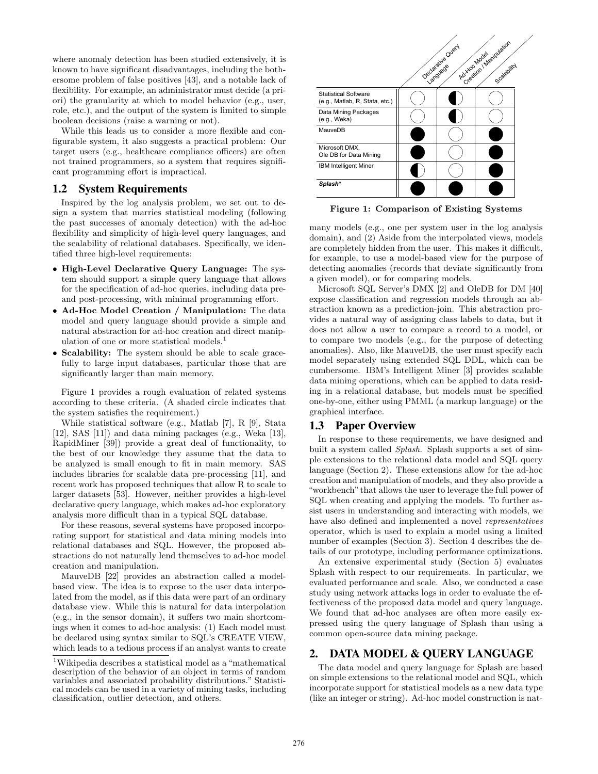where anomaly detection has been studied extensively, it is known to have significant disadvantages, including the bothersome problem of false positives [43], and a notable lack of flexibility. For example, an administrator must decide (a priori) the granularity at which to model behavior (e.g., user, role, etc.), and the output of the system is limited to simple boolean decisions (raise a warning or not).

While this leads us to consider a more flexible and configurable system, it also suggests a practical problem: Our target users (e.g., healthcare compliance officers) are often not trained programmers, so a system that requires significant programming effort is impractical.

#### 1.2 System Requirements

Inspired by the log analysis problem, we set out to design a system that marries statistical modeling (following the past successes of anomaly detection) with the ad-hoc flexibility and simplicity of high-level query languages, and the scalability of relational databases. Specifically, we identified three high-level requirements:

- High-Level Declarative Query Language: The system should support a simple query language that allows for the specification of ad-hoc queries, including data preand post-processing, with minimal programming effort.
- Ad-Hoc Model Creation / Manipulation: The data model and query language should provide a simple and natural abstraction for ad-hoc creation and direct manipulation of one or more statistical models.<sup>1</sup>
- Scalability: The system should be able to scale gracefully to large input databases, particular those that are significantly larger than main memory.

Figure 1 provides a rough evaluation of related systems according to these criteria. (A shaded circle indicates that the system satisfies the requirement.)

While statistical software (e.g., Matlab [7], R [9], Stata [12], SAS [11]) and data mining packages (e.g., Weka [13], RapidMiner [39]) provide a great deal of functionality, to the best of our knowledge they assume that the data to be analyzed is small enough to fit in main memory. SAS includes libraries for scalable data pre-processing [11], and recent work has proposed techniques that allow R to scale to larger datasets [53]. However, neither provides a high-level declarative query language, which makes ad-hoc exploratory analysis more difficult than in a typical SQL database.

For these reasons, several systems have proposed incorporating support for statistical and data mining models into relational databases and SQL. However, the proposed abstractions do not naturally lend themselves to ad-hoc model creation and manipulation.

MauveDB [22] provides an abstraction called a modelbased view. The idea is to expose to the user data interpolated from the model, as if this data were part of an ordinary database view. While this is natural for data interpolation (e.g., in the sensor domain), it suffers two main shortcomings when it comes to ad-hoc analysis: (1) Each model must be declared using syntax similar to SQL's CREATE VIEW, which leads to a tedious process if an analyst wants to create



Figure 1: Comparison of Existing Systems

many models (e.g., one per system user in the log analysis domain), and (2) Aside from the interpolated views, models are completely hidden from the user. This makes it difficult, for example, to use a model-based view for the purpose of detecting anomalies (records that deviate significantly from a given model), or for comparing models.

Microsoft SQL Server's DMX [2] and OleDB for DM [40] expose classification and regression models through an abstraction known as a prediction-join. This abstraction provides a natural way of assigning class labels to data, but it does not allow a user to compare a record to a model, or to compare two models (e.g., for the purpose of detecting anomalies). Also, like MauveDB, the user must specify each model separately using extended SQL DDL, which can be cumbersome. IBM's Intelligent Miner [3] provides scalable data mining operations, which can be applied to data residing in a relational database, but models must be specified one-by-one, either using PMML (a markup language) or the graphical interface.

# 1.3 Paper Overview

In response to these requirements, we have designed and built a system called Splash. Splash supports a set of simple extensions to the relational data model and SQL query language (Section 2). These extensions allow for the ad-hoc creation and manipulation of models, and they also provide a "workbench" that allows the user to leverage the full power of SQL when creating and applying the models. To further assist users in understanding and interacting with models, we have also defined and implemented a novel representatives operator, which is used to explain a model using a limited number of examples (Section 3). Section 4 describes the details of our prototype, including performance optimizations.

An extensive experimental study (Section 5) evaluates Splash with respect to our requirements. In particular, we evaluated performance and scale. Also, we conducted a case study using network attacks logs in order to evaluate the effectiveness of the proposed data model and query language. We found that ad-hoc analyses are often more easily expressed using the query language of Splash than using a common open-source data mining package.

# 2. DATA MODEL & QUERY LANGUAGE

The data model and query language for Splash are based on simple extensions to the relational model and SQL, which incorporate support for statistical models as a new data type (like an integer or string). Ad-hoc model construction is nat-

<sup>1</sup>Wikipedia describes a statistical model as a "mathematical description of the behavior of an object in terms of random variables and associated probability distributions." Statistical models can be used in a variety of mining tasks, including classification, outlier detection, and others.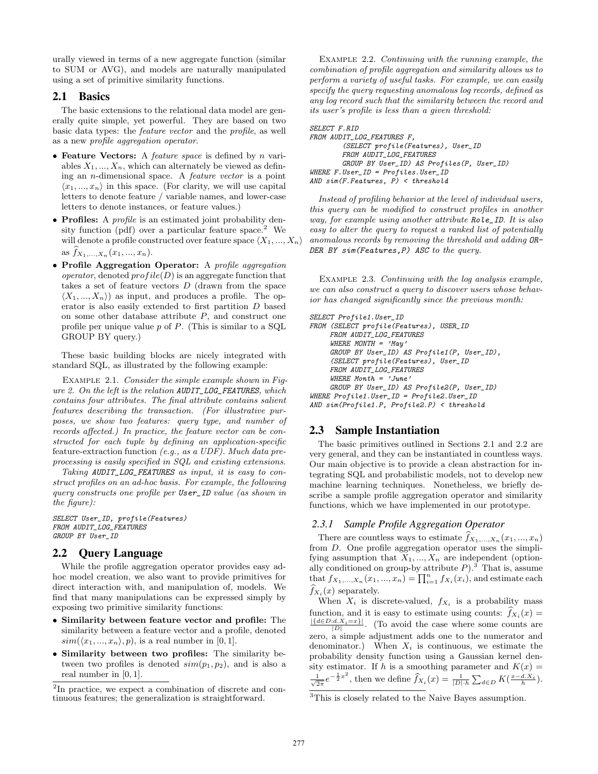urally viewed in terms of a new aggregate function (similar to SUM or AVG), and models are naturally manipulated using a set of primitive similarity functions.

# 2.1 Basics

The basic extensions to the relational data model are generally quite simple, yet powerful. They are based on two basic data types: the feature vector and the profile, as well as a new profile aggregation operator.

- Feature Vectors: A *feature space* is defined by  $n$  variables  $X_1, ..., X_n$ , which can alternately be viewed as defining an n-dimensional space. A feature vector is a point  $\langle x_1, ..., x_n \rangle$  in this space. (For clarity, we will use capital letters to denote feature / variable names, and lower-case letters to denote instances, or feature values.)
- Profiles: A *profile* is an estimated joint probability density function (pdf) over a particular feature space.<sup>2</sup> We will denote a profile constructed over feature space  $\langle X_1, ..., X_n \rangle$ as  $\widehat{f}_{X_1,...,X_n}(x_1,...,x_n)$ .
- Profile Aggregation Operator: A profile aggregation *operator*, denoted  $profile(D)$  is an aggregate function that takes a set of feature vectors  $D$  (drawn from the space  $\langle X_1, ..., X_n \rangle$  as input, and produces a profile. The operator is also easily extended to first partition D based on some other database attribute  $P$ , and construct one profile per unique value  $p$  of  $P$ . (This is similar to a SQL GROUP BY query.)

These basic building blocks are nicely integrated with standard SQL, as illustrated by the following example:

Example 2.1. Consider the simple example shown in Figure 2. On the left is the relation AUDIT\_LOG\_FEATURES, which contains four attributes. The final attribute contains salient features describing the transaction. (For illustrative purposes, we show two features: query type, and number of records affected.) In practice, the feature vector can be constructed for each tuple by defining an application-specific feature-extraction function (e.g., as a UDF). Much data preprocessing is easily specified in SQL and existing extensions.

Taking AUDIT\_LOG\_FEATURES as input, it is easy to construct profiles on an ad-hoc basis. For example, the following query constructs one profile per User\_ID value (as shown in the figure):

SELECT User\_ID, profile(Features) FROM AUDIT\_LOG\_FEATURES GROUP BY User\_ID

# 2.2 Query Language

While the profile aggregation operator provides easy adhoc model creation, we also want to provide primitives for direct interaction with, and manipulation of, models. We find that many manipulations can be expressed simply by exposing two primitive similarity functions:

- Similarity between feature vector and profile: The similarity between a feature vector and a profile, denoted  $sim(\langle x_1, ..., x_n \rangle, p)$ , is a real number in [0, 1].
- Similarity between two profiles: The similarity between two profiles is denoted  $sim(p_1, p_2)$ , and is also a real number in [0, 1].

EXAMPLE 2.2. Continuing with the running example, the combination of profile aggregation and similarity allows us to perform a variety of useful tasks. For example, we can easily specify the query requesting anomalous log records, defined as any log record such that the similarity between the record and its user's profile is less than a given threshold:

```
SELECT F.RID
FROM AUDIT_LOG_FEATURES F,
        (SELECT profile(Features), User_ID
        FROM AUDIT_LOG_FEATURES
        GROUP BY User_ID) AS Profiles(P, User_ID)
WHERE F.User_ID = Profiles.User_ID
AND sim(F.Features, P) < threshold
```
Instead of profiling behavior at the level of individual users, this query can be modified to construct profiles in another way, for example using another attribute Role\_ID. It is also easy to alter the query to request a ranked list of potentially anomalous records by removing the threshold and adding OR-DER BY sim(Features, P) ASC to the query.

EXAMPLE 2.3. Continuing with the log analysis example, we can also construct a query to discover users whose behavior has changed significantly since the previous month:

```
SELECT Profile1.User_ID
FROM (SELECT profile(Features), USER_ID
     FROM AUDIT_LOG_FEATURES
     WHERE MONTH = ^{'}May'
```

```
GROUP BY User_ID) AS Profile1(P, User_ID),
     (SELECT profile(Features), User_ID
     FROM AUDIT_LOG_FEATURES
     WHERE Month = 'June'GROUP BY User_ID) AS Profile2(P, User_ID)
WHERE Profile1.User_ID = Profile2.User_ID
AND sim(Profile1.P, Profile2.P) < threshold
```
# 2.3 Sample Instantiation

The basic primitives outlined in Sections 2.1 and 2.2 are very general, and they can be instantiated in countless ways. Our main objective is to provide a clean abstraction for integrating SQL and probabilistic models, not to develop new machine learning techniques. Nonetheless, we briefly describe a sample profile aggregation operator and similarity functions, which we have implemented in our prototype.

### *2.3.1 Sample Profile Aggregation Operator*

There are countless ways to estimate  $\widehat{f}_{X_1,\ldots,X_n}(x_1,\ldots,x_n)$ from D. One profile aggregation operator uses the simplifying assumption that  $X_1, ..., X_n$  are independent (optionally conditioned on group-by attribute  $P$ ).<sup>3</sup> That is, assume that  $f_{X_1,...,X_n}(x_1,...,x_n) = \prod_{i=1}^n f_{X_i}(x_i)$ , and estimate each  $f_{X_i}(x)$  separately.

When  $X_i$  is discrete-valued,  $f_{X_i}$  is a probability mass function, and it is easy to estimate using counts:  $f_{X_i}(x) =$  $\frac{|{d\in D: d.X_i=x}|}{|D|}$ . (To avoid the case where some counts are zero, a simple adjustment adds one to the numerator and denominator.) When  $X_i$  is continuous, we estimate the probability density function using a Gaussian kernel density estimator. If h is a smoothing parameter and  $K(x) =$  $\frac{1}{\sqrt{2\pi}}e^{-\frac{1}{2}x^2}$ , then we define  $\widehat{f}_{X_i}(x) = \frac{1}{|D|\cdot h} \sum_{d \in D} K(\frac{x-d.X_i}{h})$ .

<sup>&</sup>lt;sup>2</sup>In practice, we expect a combination of discrete and continuous features; the generalization is straightforward.

<sup>3</sup>This is closely related to the Naive Bayes assumption.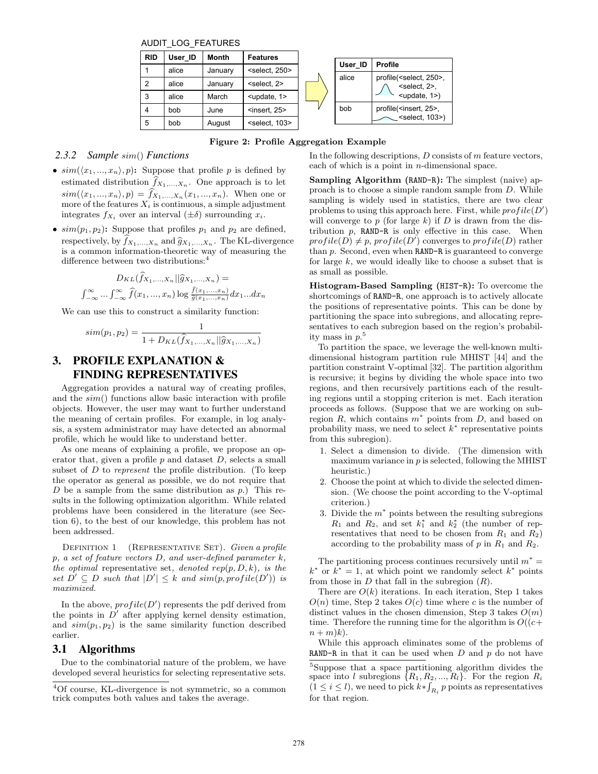AUDIT\_LOG\_FEATURES

| <b>RID</b>     | User ID | Month   | <b>Features</b>            |  |         |                                                                                                        |
|----------------|---------|---------|----------------------------|--|---------|--------------------------------------------------------------------------------------------------------|
|                | alice   |         |                            |  | User ID | <b>Profile</b>                                                                                         |
|                |         | January | <select, 250=""></select,> |  | alice   | profile( <select, 250="">,<br/><select, 2="">,<br/><math>\leq</math>update, 1&gt;)</select,></select,> |
| $\overline{2}$ | alice   | January | <select, 2=""></select,>   |  |         |                                                                                                        |
| 3              | alice   | March   | $lt$ update, $1$           |  |         |                                                                                                        |
| 4              | bob     | June    | $<$ insert, 25 $>$         |  | bob     | profile( <insert, 25="">,</insert,>                                                                    |
| 5              | bob     | August  | <select, 103=""></select,> |  |         | $\sim$ <select, 103="">)</select,>                                                                     |

Figure 2: Profile Aggregation Example

# *2.3.2 Sample* sim() *Functions*

- $sim(\langle x_1, ..., x_n \rangle, p)$ : Suppose that profile p is defined by estimated distribution  $f_{X_1,...,X_n}$ . One approach is to let  $sim(\langle x_1, ..., x_n \rangle, p) = f_{X_1, ..., X_n}(x_1, ..., x_n).$  When one or more of the features  $X_i$  is continuous, a simple adjustment integrates  $f_{X_i}$  over an interval  $(\pm \delta)$  surrounding  $x_i$ .
- $sim(p_1, p_2)$ : Suppose that profiles  $p_1$  and  $p_2$  are defined, respectively, by  $\widehat{f}_{X_1,...,X_n}$  and  $\widehat{g}_{X_1,...,X_n}$ . The KL-divergence is a common information-theoretic way of measuring the difference between two distributions:<sup>4</sup>

$$
D_{KL}(\widehat{f}_{X_1,\ldots,X_n}||\widehat{g}_{X_1,\ldots,X_n}) =
$$

$$
\int_{-\infty}^{\infty} \ldots \int_{-\infty}^{\infty} \widehat{f}(x_1,\ldots,x_n) \log \frac{\widehat{f}(x_1,\ldots,x_n)}{\widehat{g}(x_1,\ldots,x_n)} dx_1 \ldots dx_n
$$

We can use this to construct a similarity function:

$$
sim(p_1, p_2) = \frac{1}{1 + D_{KL}(\hat{f}_{X_1,...,X_n} || \hat{g}_{X_1,...,X_n})}
$$

# 3. PROFILE EXPLANATION & FINDING REPRESENTATIVES

Aggregation provides a natural way of creating profiles, and the sim() functions allow basic interaction with profile objects. However, the user may want to further understand the meaning of certain profiles. For example, in log analysis, a system administrator may have detected an abnormal profile, which he would like to understand better.

As one means of explaining a profile, we propose an operator that, given a profile  $p$  and dataset  $D$ , selects a small subset of  $D$  to represent the profile distribution. (To keep the operator as general as possible, we do not require that D be a sample from the same distribution as  $p$ .) This results in the following optimization algorithm. While related problems have been considered in the literature (see Section 6), to the best of our knowledge, this problem has not been addressed.

DEFINITION 1 (REPRESENTATIVE SET). Given a profile  $p, a set of feature vectors D, and user-defined parameter  $k$ ,$ the optimal representative set, denoted  $rep(p, D, k)$ , is the set  $D' \subseteq D$  such that  $|D'| \leq k$  and  $\text{sim}(p, \text{profile}(D'))$  is maximized.

In the above,  $profile(D')$  represents the pdf derived from the points in  $D'$  after applying kernel density estimation, and  $sim(p_1, p_2)$  is the same similarity function described earlier.

### 3.1 Algorithms

Due to the combinatorial nature of the problem, we have developed several heuristics for selecting representative sets.

In the following descriptions,  $D$  consists of  $m$  feature vectors, each of which is a point in  $n$ -dimensional space.

Sampling Algorithm (RAND-R): The simplest (naive) approach is to choose a simple random sample from D. While sampling is widely used in statistics, there are two clear problems to using this approach here. First, while  $profile(D')$ will converge to  $p$  (for large  $k$ ) if  $D$  is drawn from the distribution  $p$ , RAND-R is only effective in this case. When  $profile(D) \neq p, profile(D')$  converges to  $profile(D)$  rather than p. Second, even when RAND-R is guaranteed to converge for large  $k$ , we would ideally like to choose a subset that is as small as possible.

Histogram-Based Sampling (HIST-R): To overcome the shortcomings of RAND-R, one approach is to actively allocate the positions of representative points. This can be done by partitioning the space into subregions, and allocating representatives to each subregion based on the region's probability mass in  $p$ <sup>5</sup>.

To partition the space, we leverage the well-known multidimensional histogram partition rule MHIST [44] and the partition constraint V-optimal [32]. The partition algorithm is recursive; it begins by dividing the whole space into two regions, and then recursively partitions each of the resulting regions until a stopping criterion is met. Each iteration proceeds as follows. (Suppose that we are working on subregion  $R$ , which contains  $m^*$  points from  $D$ , and based on probability mass, we need to select  $k^*$  representative points from this subregion).

- 1. Select a dimension to divide. (The dimension with maximum variance in  $p$  is selected, following the MHIST heuristic.)
- 2. Choose the point at which to divide the selected dimension. (We choose the point according to the V-optimal criterion.)
- 3. Divide the  $m^*$  points between the resulting subregions  $R_1$  and  $R_2$ , and set  $k_1^*$  and  $k_2^*$  (the number of representatives that need to be chosen from  $R_1$  and  $R_2$ ) according to the probability mass of  $p$  in  $R_1$  and  $R_2$ .

The partitioning process continues recursively until  $m^* =$  $k^*$  or  $k^* = 1$ , at which point we randomly select  $k^*$  points from those in  $D$  that fall in the subregion  $(R)$ .

There are  $O(k)$  iterations. In each iteration, Step 1 takes  $O(n)$  time, Step 2 takes  $O(c)$  time where c is the number of distinct values in the chosen dimension, Step 3 takes  $O(m)$ time. Therefore the running time for the algorithm is  $O((c+)$  $n + m(k)$ .

While this approach eliminates some of the problems of RAND-R in that it can be used when  $D$  and  $p$  do not have

<sup>4</sup>Of course, KL-divergence is not symmetric, so a common trick computes both values and takes the average.

<sup>5</sup>Suppose that a space partitioning algorithm divides the space into l subregions  $\{R_1, R_2, ..., R_l\}$ . For the region  $R_i$  $(1 \leq i \leq l)$ , we need to pick  $k * \int_{R_i} p$  points as representatives for that region.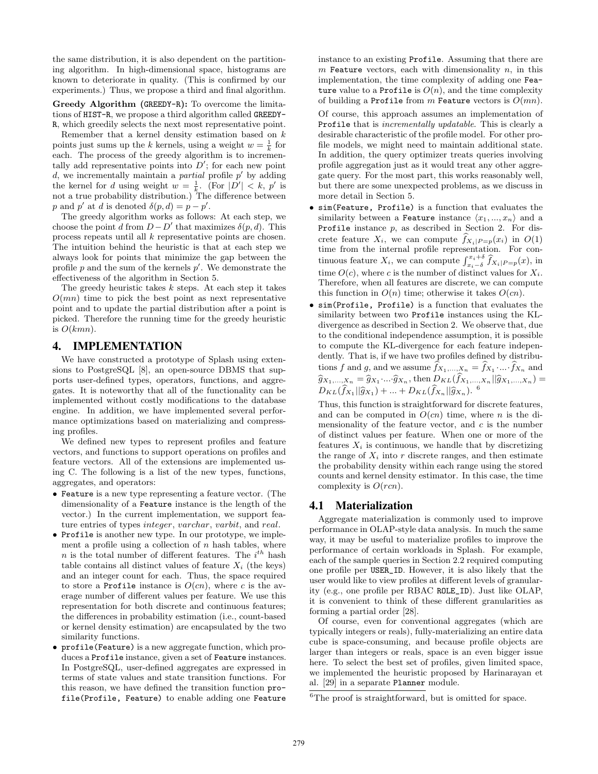the same distribution, it is also dependent on the partitioning algorithm. In high-dimensional space, histograms are known to deteriorate in quality. (This is confirmed by our experiments.) Thus, we propose a third and final algorithm.

Greedy Algorithm (GREEDY-R): To overcome the limitations of HIST-R, we propose a third algorithm called GREEDY-R, which greedily selects the next most representative point.

Remember that a kernel density estimation based on  $k$ points just sums up the k kernels, using a weight  $w = \frac{1}{k}$  for each. The process of the greedy algorithm is to incrementally add representative points into  $D'$ ; for each new point d, we incrementally maintain a *partial* profile  $p'$  by adding the kernel for d using weight  $w = \frac{1}{k}$ . (For  $|D'| < k$ , p' is not a true probability distribution.) The difference between p and p' at d is denoted  $\delta(p, d) = p - p'$ .

The greedy algorithm works as follows: At each step, we choose the point d from  $D - D'$  that maximizes  $\delta(p, d)$ . This process repeats until all k representative points are chosen. The intuition behind the heuristic is that at each step we always look for points that minimize the gap between the profile  $p$  and the sum of the kernels  $p'$ . We demonstrate the effectiveness of the algorithm in Section 5.

The greedy heuristic takes  $k$  steps. At each step it takes  $O(mn)$  time to pick the best point as next representative point and to update the partial distribution after a point is picked. Therefore the running time for the greedy heuristic is  $O(kmn)$ .

# 4. IMPLEMENTATION

We have constructed a prototype of Splash using extensions to PostgreSQL [8], an open-source DBMS that supports user-defined types, operators, functions, and aggregates. It is noteworthy that all of the functionality can be implemented without costly modifications to the database engine. In addition, we have implemented several performance optimizations based on materializing and compressing profiles.

We defined new types to represent profiles and feature vectors, and functions to support operations on profiles and feature vectors. All of the extensions are implemented using C. The following is a list of the new types, functions, aggregates, and operators:

- Feature is a new type representing a feature vector. (The dimensionality of a Feature instance is the length of the vector.) In the current implementation, we support feature entries of types *integer*, *varchar*, *varbit*, and *real*.
- Profile is another new type. In our prototype, we implement a profile using a collection of  $n$  hash tables, where n is the total number of different features. The  $i^{th}$  hash table contains all distinct values of feature  $X_i$  (the keys) and an integer count for each. Thus, the space required to store a Profile instance is  $O(cn)$ , where c is the average number of different values per feature. We use this representation for both discrete and continuous features; the differences in probability estimation (i.e., count-based or kernel density estimation) are encapsulated by the two similarity functions.
- profile(Feature) is a new aggregate function, which produces a Profile instance, given a set of Feature instances. In PostgreSQL, user-defined aggregates are expressed in terms of state values and state transition functions. For this reason, we have defined the transition function profile(Profile, Feature) to enable adding one Feature

instance to an existing Profile. Assuming that there are m Feature vectors, each with dimensionality  $n$ , in this implementation, the time complexity of adding one Feature value to a Profile is  $O(n)$ , and the time complexity of building a Profile from m Feature vectors is  $O(mn)$ .

Of course, this approach assumes an implementation of Profile that is incrementally updatable. This is clearly a desirable characteristic of the profile model. For other profile models, we might need to maintain additional state. In addition, the query optimizer treats queries involving profile aggregation just as it would treat any other aggregate query. For the most part, this works reasonably well, but there are some unexpected problems, as we discuss in more detail in Section 5.

- sim(Feature, Profile) is a function that evaluates the similarity between a Feature instance  $\langle x_1, ..., x_n \rangle$  and a Profile instance  $p$ , as described in Section 2. For discrete feature  $X_i$ , we can compute  $f_{X_i|P=p}(x_i)$  in  $O(1)$ time from the internal profile representation. For continuous feature  $X_i$ , we can compute  $\int_{x_i-\delta}^{x_i+\delta} \hat{f}_{X_i|P=p}(x)$ , in time  $O(c)$ , where c is the number of distinct values for  $X_i$ . Therefore, when all features are discrete, we can compute this function in  $O(n)$  time; otherwise it takes  $O(cn)$ .
- sim(Profile, Profile) is a function that evaluates the similarity between two Profile instances using the KLdivergence as described in Section 2. We observe that, due to the conditional independence assumption, it is possible to compute the KL-divergence for each feature independently. That is, if we have two profiles defined by distributions f and g, and we assume  $f_{X_1,...,X_n} = f_{X_1} \dots f_{X_n}$  and  $\widehat{g}_{X_1,\dots,X_n} = \widehat{g}_{X_1}\dots\widehat{g}_{X_n}$ , then  $D_{KL}(f_{X_1,\dots,X_n}||\widehat{g}_{X_1,\dots,X_n}) =$  $D_{KL}(\widehat{f}_{X_1}||\widehat{g}_{X_1}) + ... + D_{KL}(\widehat{f}_{X_n}||\widehat{g}_{X_n})$ . <sup>6</sup>

Thus, this function is straightforward for discrete features, and can be computed in  $O(cn)$  time, where n is the dimensionality of the feature vector, and  $c$  is the number of distinct values per feature. When one or more of the features  $X_i$  is continuous, we handle that by discretizing the range of  $X_i$  into r discrete ranges, and then estimate the probability density within each range using the stored counts and kernel density estimator. In this case, the time complexity is  $O(rcn)$ .

# 4.1 Materialization

Aggregate materialization is commonly used to improve performance in OLAP-style data analysis. In much the same way, it may be useful to materialize profiles to improve the performance of certain workloads in Splash. For example, each of the sample queries in Section 2.2 required computing one profile per USER\_ID. However, it is also likely that the user would like to view profiles at different levels of granularity (e.g., one profile per RBAC ROLE\_ID). Just like OLAP, it is convenient to think of these different granularities as forming a partial order [28].

Of course, even for conventional aggregates (which are typically integers or reals), fully-materializing an entire data cube is space-consuming, and because profile objects are larger than integers or reals, space is an even bigger issue here. To select the best set of profiles, given limited space, we implemented the heuristic proposed by Harinarayan et al. [29] in a separate Planner module.

<sup>&</sup>lt;sup>6</sup>The proof is straightforward, but is omitted for space.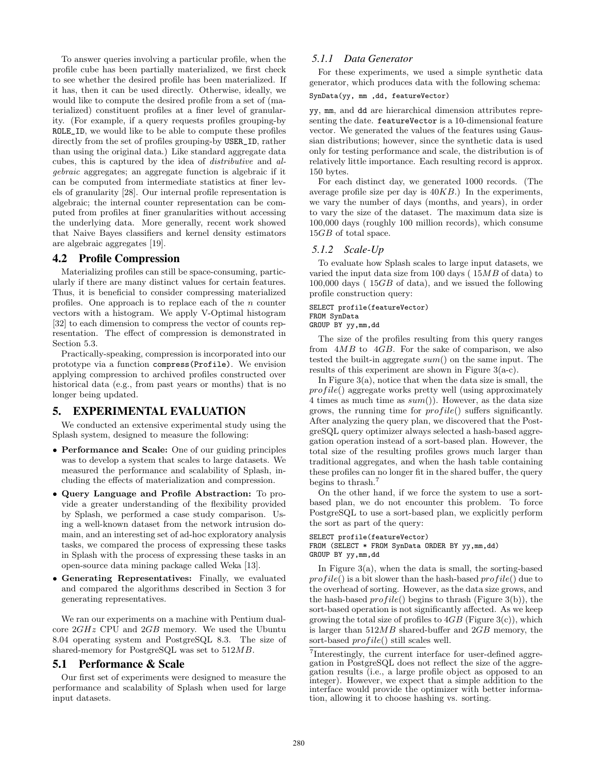To answer queries involving a particular profile, when the profile cube has been partially materialized, we first check to see whether the desired profile has been materialized. If it has, then it can be used directly. Otherwise, ideally, we would like to compute the desired profile from a set of (materialized) constituent profiles at a finer level of granularity. (For example, if a query requests profiles grouping-by ROLE\_ID, we would like to be able to compute these profiles directly from the set of profiles grouping-by USER\_ID, rather than using the original data.) Like standard aggregate data cubes, this is captured by the idea of distributive and algebraic aggregates; an aggregate function is algebraic if it can be computed from intermediate statistics at finer levels of granularity [28]. Our internal profile representation is algebraic; the internal counter representation can be computed from profiles at finer granularities without accessing the underlying data. More generally, recent work showed that Naive Bayes classifiers and kernel density estimators are algebraic aggregates [19].

# 4.2 Profile Compression

Materializing profiles can still be space-consuming, particularly if there are many distinct values for certain features. Thus, it is beneficial to consider compressing materialized profiles. One approach is to replace each of the  $n$  counter vectors with a histogram. We apply V-Optimal histogram [32] to each dimension to compress the vector of counts representation. The effect of compression is demonstrated in Section 5.3.

Practically-speaking, compression is incorporated into our prototype via a function compress(Profile). We envision applying compression to archived profiles constructed over historical data (e.g., from past years or months) that is no longer being updated.

# 5. EXPERIMENTAL EVALUATION

We conducted an extensive experimental study using the Splash system, designed to measure the following:

- Performance and Scale: One of our guiding principles was to develop a system that scales to large datasets. We measured the performance and scalability of Splash, including the effects of materialization and compression.
- Query Language and Profile Abstraction: To provide a greater understanding of the flexibility provided by Splash, we performed a case study comparison. Using a well-known dataset from the network intrusion domain, and an interesting set of ad-hoc exploratory analysis tasks, we compared the process of expressing these tasks in Splash with the process of expressing these tasks in an open-source data mining package called Weka [13].
- Generating Representatives: Finally, we evaluated and compared the algorithms described in Section 3 for generating representatives.

We ran our experiments on a machine with Pentium dualcore 2GHz CPU and 2GB memory. We used the Ubuntu 8.04 operating system and PostgreSQL 8.3. The size of shared-memory for PostgreSQL was set to 512MB.

### 5.1 Performance & Scale

Our first set of experiments were designed to measure the performance and scalability of Splash when used for large input datasets.

#### *5.1.1 Data Generator*

For these experiments, we used a simple synthetic data generator, which produces data with the following schema:

SynData(yy, mm ,dd, featureVector)

yy, mm, and dd are hierarchical dimension attributes representing the date. featureVector is a 10-dimensional feature vector. We generated the values of the features using Gaussian distributions; however, since the synthetic data is used only for testing performance and scale, the distribution is of relatively little importance. Each resulting record is approx. 150 bytes.

For each distinct day, we generated 1000 records. (The average profile size per day is  $40KB$ .) In the experiments, we vary the number of days (months, and years), in order to vary the size of the dataset. The maximum data size is 100,000 days (roughly 100 million records), which consume 15GB of total space.

#### *5.1.2 Scale-Up*

To evaluate how Splash scales to large input datasets, we varied the input data size from 100 days ( 15MB of data) to 100,000 days ( 15GB of data), and we issued the following profile construction query:

# SELECT profile(featureVector) FROM SynData

GROUP BY yy,mm,dd

The size of the profiles resulting from this query ranges from 4MB to 4GB. For the sake of comparison, we also tested the built-in aggregate  $sum()$  on the same input. The results of this experiment are shown in Figure 3(a-c).

In Figure 3(a), notice that when the data size is small, the  $profile()$  aggregate works pretty well (using approximately 4 times as much time as  $sum()$ . However, as the data size grows, the running time for  $profile()$  suffers significantly. After analyzing the query plan, we discovered that the PostgreSQL query optimizer always selected a hash-based aggregation operation instead of a sort-based plan. However, the total size of the resulting profiles grows much larger than traditional aggregates, and when the hash table containing these profiles can no longer fit in the shared buffer, the query begins to thrash.<sup>7</sup>

On the other hand, if we force the system to use a sortbased plan, we do not encounter this problem. To force PostgreSQL to use a sort-based plan, we explicitly perform the sort as part of the query:

```
SELECT profile(featureVector)
FROM (SELECT * FROM SynData ORDER BY yy, mm, dd)
GROUP BY yy,mm,dd
```
In Figure 3(a), when the data is small, the sorting-based  $profile()$  is a bit slower than the hash-based  $profile()$  due to the overhead of sorting. However, as the data size grows, and the hash-based  $profile()$  begins to thrash (Figure 3(b)), the sort-based operation is not significantly affected. As we keep growing the total size of profiles to  $4GB$  (Figure 3(c)), which is larger than  $512MB$  shared-buffer and  $2GB$  memory, the sort-based  $profile()$  still scales well.

<sup>&</sup>lt;sup>7</sup>Interestingly, the current interface for user-defined aggregation in PostgreSQL does not reflect the size of the aggregation results (i.e., a large profile object as opposed to an integer). However, we expect that a simple addition to the interface would provide the optimizer with better information, allowing it to choose hashing vs. sorting.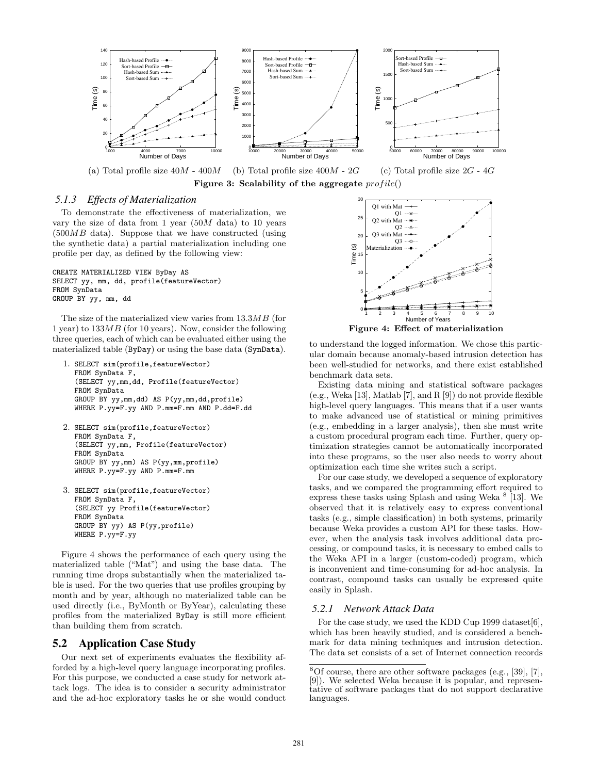

#### *5.1.3 Effects of Materialization*

To demonstrate the effectiveness of materialization, we vary the size of data from 1 year  $(50M \text{ data})$  to 10 years (500MB data). Suppose that we have constructed (using the synthetic data) a partial materialization including one profile per day, as defined by the following view:

CREATE MATERIALIZED VIEW ByDay AS SELECT yy, mm, dd, profile(featureVector) FROM SynData GROUP BY yy, mm, dd

The size of the materialized view varies from 13.3MB (for 1 year) to  $133MB$  (for 10 years). Now, consider the following three queries, each of which can be evaluated either using the materialized table (ByDay) or using the base data (SynData).

- 1. SELECT sim(profile,featureVector) FROM SynData F, (SELECT yy,mm,dd, Profile(featureVector) FROM SynData GROUP BY yy,mm,dd) AS P(yy,mm,dd,profile) WHERE P.yy=F.yy AND P.mm=F.mm AND P.dd=F.dd
- 2. SELECT sim(profile,featureVector) FROM SynData F, (SELECT yy,mm, Profile(featureVector) FROM SynData GROUP BY yy,mm) AS P(yy,mm,profile) WHERE P.yy=F.yy AND P.mm=F.mm
- 3. SELECT sim(profile,featureVector) FROM SynData F, (SELECT yy Profile(featureVector) FROM SynData GROUP BY yy) AS P(yy,profile) WHERE P.yy=F.yy

Figure 4 shows the performance of each query using the materialized table ("Mat") and using the base data. The running time drops substantially when the materialized table is used. For the two queries that use profiles grouping by month and by year, although no materialized table can be used directly (i.e., ByMonth or ByYear), calculating these profiles from the materialized ByDay is still more efficient than building them from scratch.

### 5.2 Application Case Study

Our next set of experiments evaluates the flexibility afforded by a high-level query language incorporating profiles. For this purpose, we conducted a case study for network attack logs. The idea is to consider a security administrator and the ad-hoc exploratory tasks he or she would conduct



to understand the logged information. We chose this particular domain because anomaly-based intrusion detection has been well-studied for networks, and there exist established benchmark data sets.

Existing data mining and statistical software packages (e.g., Weka [13], Matlab [7], and R [9]) do not provide flexible high-level query languages. This means that if a user wants to make advanced use of statistical or mining primitives (e.g., embedding in a larger analysis), then she must write a custom procedural program each time. Further, query optimization strategies cannot be automatically incorporated into these programs, so the user also needs to worry about optimization each time she writes such a script.

For our case study, we developed a sequence of exploratory tasks, and we compared the programming effort required to express these tasks using Splash and using Weka  $\frac{8}{13}$ . We observed that it is relatively easy to express conventional tasks (e.g., simple classification) in both systems, primarily because Weka provides a custom API for these tasks. However, when the analysis task involves additional data processing, or compound tasks, it is necessary to embed calls to the Weka API in a larger (custom-coded) program, which is inconvenient and time-consuming for ad-hoc analysis. In contrast, compound tasks can usually be expressed quite easily in Splash.

#### *5.2.1 Network Attack Data*

For the case study, we used the KDD Cup 1999 dataset [6], which has been heavily studied, and is considered a benchmark for data mining techniques and intrusion detection. The data set consists of a set of Internet connection records

 $8$ Of course, there are other software packages (e.g., [39], [7], [9]). We selected Weka because it is popular, and representative of software packages that do not support declarative languages.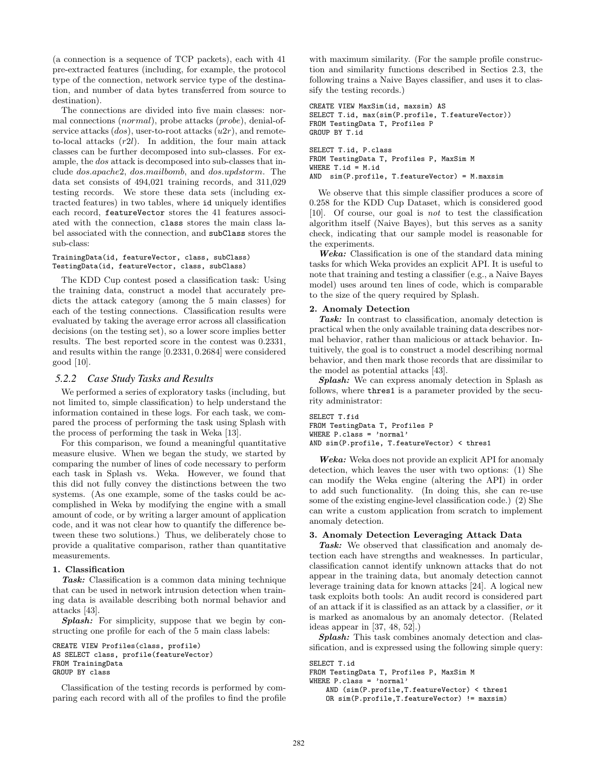(a connection is a sequence of TCP packets), each with 41 pre-extracted features (including, for example, the protocol type of the connection, network service type of the destination, and number of data bytes transferred from source to destination).

The connections are divided into five main classes: normal connections (normal), probe attacks (probe), denial-ofservice attacks  $(dos)$ , user-to-root attacks  $(u2r)$ , and remoteto-local attacks (r2l). In addition, the four main attack classes can be further decomposed into sub-classes. For example, the dos attack is decomposed into sub-classes that include dos.apache2, dos.mailbomb, and dos.updstorm. The data set consists of 494,021 training records, and 311,029 testing records. We store these data sets (including extracted features) in two tables, where id uniquely identifies each record, featureVector stores the 41 features associated with the connection, class stores the main class label associated with the connection, and subClass stores the sub-class:

#### TrainingData(id, featureVector, class, subClass) TestingData(id, featureVector, class, subClass)

The KDD Cup contest posed a classification task: Using the training data, construct a model that accurately predicts the attack category (among the 5 main classes) for each of the testing connections. Classification results were evaluated by taking the average error across all classification decisions (on the testing set), so a lower score implies better results. The best reported score in the contest was 0.2331, and results within the range [0.2331, 0.2684] were considered good [10].

# *5.2.2 Case Study Tasks and Results*

We performed a series of exploratory tasks (including, but not limited to, simple classification) to help understand the information contained in these logs. For each task, we compared the process of performing the task using Splash with the process of performing the task in Weka [13].

For this comparison, we found a meaningful quantitative measure elusive. When we began the study, we started by comparing the number of lines of code necessary to perform each task in Splash vs. Weka. However, we found that this did not fully convey the distinctions between the two systems. (As one example, some of the tasks could be accomplished in Weka by modifying the engine with a small amount of code, or by writing a larger amount of application code, and it was not clear how to quantify the difference between these two solutions.) Thus, we deliberately chose to provide a qualitative comparison, rather than quantitative measurements.

### 1. Classification

Task: Classification is a common data mining technique that can be used in network intrusion detection when training data is available describing both normal behavior and attacks [43].

**Splash:** For simplicity, suppose that we begin by constructing one profile for each of the 5 main class labels:

```
CREATE VIEW Profiles(class, profile)
AS SELECT class, profile(featureVector)
FROM TrainingData
GROUP BY class
```
Classification of the testing records is performed by comparing each record with all of the profiles to find the profile with maximum similarity. (For the sample profile construction and similarity functions described in Sectios 2.3, the following trains a Naive Bayes classifier, and uses it to classify the testing records.)

```
CREATE VIEW MaxSim(id, maxsim) AS
SELECT T.id, max(sim(P.profile, T.featureVector))
FROM TestingData T, Profiles P
GROUP BY T.id
```

```
SELECT T.id, P.class
FROM TestingData T, Profiles P, MaxSim M
WHERE T.id = M.idAND sim(P.profile, T.featureVector) = M.maxsim
```
We observe that this simple classifier produces a score of 0.258 for the KDD Cup Dataset, which is considered good [10]. Of course, our goal is not to test the classification algorithm itself (Naive Bayes), but this serves as a sanity check, indicating that our sample model is reasonable for the experiments.

Weka: Classification is one of the standard data mining tasks for which Weka provides an explicit API. It is useful to note that training and testing a classifier (e.g., a Naive Bayes model) uses around ten lines of code, which is comparable to the size of the query required by Splash.

#### 2. Anomaly Detection

Task: In contrast to classification, anomaly detection is practical when the only available training data describes normal behavior, rather than malicious or attack behavior. Intuitively, the goal is to construct a model describing normal behavior, and then mark those records that are dissimilar to the model as potential attacks [43].

Splash: We can express anomaly detection in Splash as follows, where thres1 is a parameter provided by the security administrator:

SELECT T.fid FROM TestingData T, Profiles P WHERE P.class = 'normal' AND sim(P.profile, T.featureVector) < thres1

Weka: Weka does not provide an explicit API for anomaly detection, which leaves the user with two options: (1) She can modify the Weka engine (altering the API) in order to add such functionality. (In doing this, she can re-use some of the existing engine-level classification code.) (2) She can write a custom application from scratch to implement anomaly detection.

# 3. Anomaly Detection Leveraging Attack Data

Task: We observed that classification and anomaly detection each have strengths and weaknesses. In particular, classification cannot identify unknown attacks that do not appear in the training data, but anomaly detection cannot leverage training data for known attacks [24]. A logical new task exploits both tools: An audit record is considered part of an attack if it is classified as an attack by a classifier, or it is marked as anomalous by an anomaly detector. (Related ideas appear in [37, 48, 52].)

Splash: This task combines anomaly detection and classification, and is expressed using the following simple query:

SELECT T.id FROM TestingData T, Profiles P, MaxSim M WHERE P.class = 'normal' AND (sim(P.profile,T.featureVector) < thres1 OR sim(P.profile,T.featureVector) != maxsim)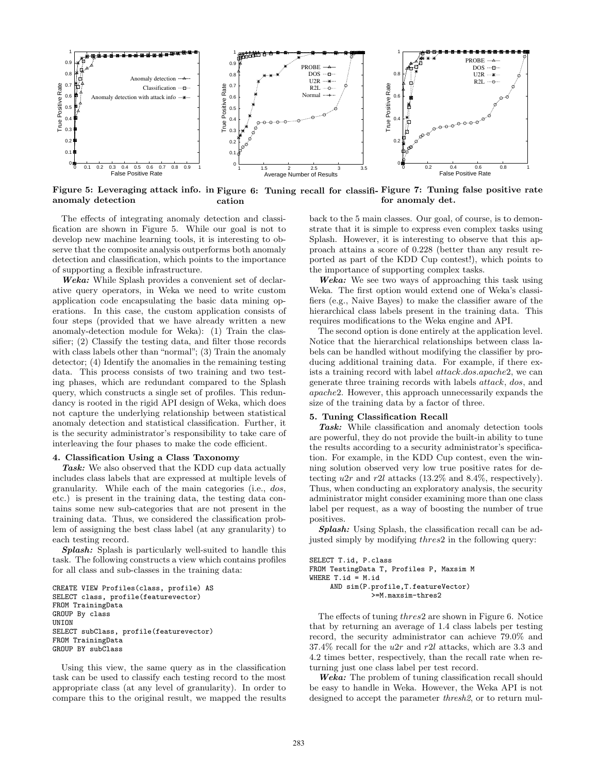

Figure 5: Leveraging attack info. in Figure 6: Tuning recall for classifi-Figure 7: Tuning false positive rate anomaly detection cation for anomaly det.

The effects of integrating anomaly detection and classification are shown in Figure 5. While our goal is not to develop new machine learning tools, it is interesting to observe that the composite analysis outperforms both anomaly detection and classification, which points to the importance of supporting a flexible infrastructure.

Weka: While Splash provides a convenient set of declarative query operators, in Weka we need to write custom application code encapsulating the basic data mining operations. In this case, the custom application consists of four steps (provided that we have already written a new anomaly-detection module for Weka): (1) Train the classifier; (2) Classify the testing data, and filter those records with class labels other than "normal"; (3) Train the anomaly detector; (4) Identify the anomalies in the remaining testing data. This process consists of two training and two testing phases, which are redundant compared to the Splash query, which constructs a single set of profiles. This redundancy is rooted in the rigid API design of Weka, which does not capture the underlying relationship between statistical anomaly detection and statistical classification. Further, it is the security administrator's responsibility to take care of interleaving the four phases to make the code efficient.

#### 4. Classification Using a Class Taxonomy

Task: We also observed that the KDD cup data actually includes class labels that are expressed at multiple levels of granularity. While each of the main categories (i.e., dos, etc.) is present in the training data, the testing data contains some new sub-categories that are not present in the training data. Thus, we considered the classification problem of assigning the best class label (at any granularity) to each testing record.

Splash: Splash is particularly well-suited to handle this task. The following constructs a view which contains profiles for all class and sub-classes in the training data:

```
CREATE VIEW Profiles(class, profile) AS
SELECT class, profile(featurevector)
FROM TrainingData
GROUP By class
UNTON
SELECT subClass, profile(featurevector)
FROM TrainingData
GROUP BY subClass
```
Using this view, the same query as in the classification task can be used to classify each testing record to the most appropriate class (at any level of granularity). In order to compare this to the original result, we mapped the results back to the 5 main classes. Our goal, of course, is to demonstrate that it is simple to express even complex tasks using Splash. However, it is interesting to observe that this approach attains a score of 0.228 (better than any result reported as part of the KDD Cup contest!), which points to the importance of supporting complex tasks.

Weka: We see two ways of approaching this task using Weka. The first option would extend one of Weka's classifiers (e.g., Naive Bayes) to make the classifier aware of the hierarchical class labels present in the training data. This requires modifications to the Weka engine and API.

The second option is done entirely at the application level. Notice that the hierarchical relationships between class labels can be handled without modifying the classifier by producing additional training data. For example, if there exists a training record with label attack.dos.apache2, we can generate three training records with labels attack, dos, and apache2. However, this approach unnecessarily expands the size of the training data by a factor of three.

#### 5. Tuning Classification Recall

Task: While classification and anomaly detection tools are powerful, they do not provide the built-in ability to tune the results according to a security administrator's specification. For example, in the KDD Cup contest, even the winning solution observed very low true positive rates for detecting  $u2r$  and  $r2l$  attacks (13.2% and 8.4%, respectively). Thus, when conducting an exploratory analysis, the security administrator might consider examining more than one class label per request, as a way of boosting the number of true positives.

Splash: Using Splash, the classification recall can be adjusted simply by modifying thres2 in the following query:

```
SELECT T.id, P.class
FROM TestingData T, Profiles P, Maxsim M
WHERE T.id = M.idAND sim(P.profile,T.featureVector)
               >=M.maxsim-thres2
```
The effects of tuning thres2 are shown in Figure 6. Notice that by returning an average of 1.4 class labels per testing record, the security administrator can achieve 79.0% and 37.4% recall for the u2r and r2l attacks, which are 3.3 and 4.2 times better, respectively, than the recall rate when returning just one class label per test record.

Weka: The problem of tuning classification recall should be easy to handle in Weka. However, the Weka API is not designed to accept the parameter thresh2, or to return mul-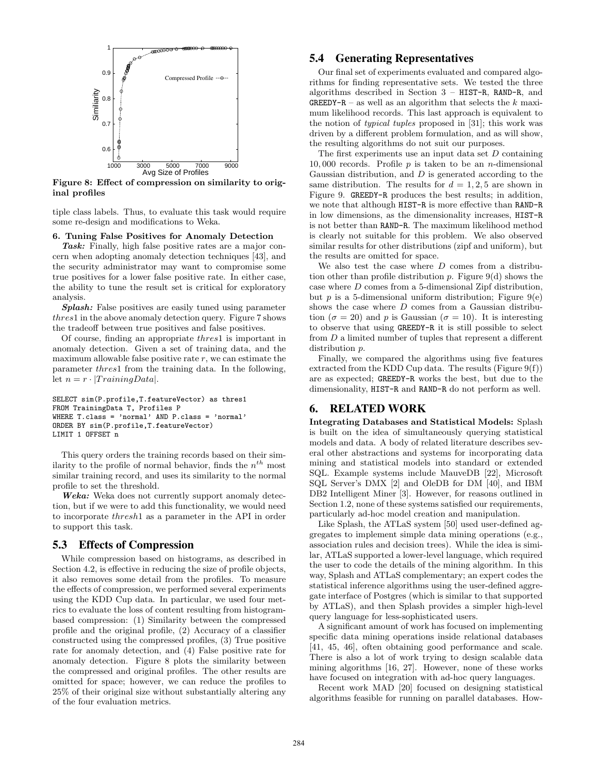

Figure 8: Effect of compression on similarity to original profiles

tiple class labels. Thus, to evaluate this task would require some re-design and modifications to Weka.

#### 6. Tuning False Positives for Anomaly Detection

Task: Finally, high false positive rates are a major concern when adopting anomaly detection techniques [43], and the security administrator may want to compromise some true positives for a lower false positive rate. In either case, the ability to tune the result set is critical for exploratory analysis.

Splash: False positives are easily tuned using parameter thres1 in the above anomaly detection query. Figure 7 shows the tradeoff between true positives and false positives.

Of course, finding an appropriate thres1 is important in anomaly detection. Given a set of training data, and the maximum allowable false positive rate  $r$ , we can estimate the parameter thres1 from the training data. In the following, let  $n = r \cdot |TriiningData|$ .

```
SELECT sim(P.profile,T.featureVector) as thres1
FROM TrainingData T, Profiles P
WHERE T.class = 'normal' AND P.class = 'normal'
ORDER BY sim(P.profile,T.featureVector)
LIMIT 1 OFFSET n
```
This query orders the training records based on their similarity to the profile of normal behavior, finds the  $n^{th}$  most similar training record, and uses its similarity to the normal profile to set the threshold.

Weka: Weka does not currently support anomaly detection, but if we were to add this functionality, we would need to incorporate thresh1 as a parameter in the API in order to support this task.

# 5.3 Effects of Compression

While compression based on histograms, as described in Section 4.2, is effective in reducing the size of profile objects, it also removes some detail from the profiles. To measure the effects of compression, we performed several experiments using the KDD Cup data. In particular, we used four metrics to evaluate the loss of content resulting from histogrambased compression: (1) Similarity between the compressed profile and the original profile, (2) Accuracy of a classifier constructed using the compressed profiles, (3) True positive rate for anomaly detection, and (4) False positive rate for anomaly detection. Figure 8 plots the similarity between the compressed and original profiles. The other results are omitted for space; however, we can reduce the profiles to 25% of their original size without substantially altering any of the four evaluation metrics.

# 5.4 Generating Representatives

Our final set of experiments evaluated and compared algorithms for finding representative sets. We tested the three algorithms described in Section 3 – HIST-R, RAND-R, and GREEDY-R – as well as an algorithm that selects the  $k$  maximum likelihood records. This last approach is equivalent to the notion of typical tuples proposed in [31]; this work was driven by a different problem formulation, and as will show, the resulting algorithms do not suit our purposes.

The first experiments use an input data set D containing 10,000 records. Profile  $p$  is taken to be an *n*-dimensional Gaussian distribution, and D is generated according to the same distribution. The results for  $d = 1, 2, 5$  are shown in Figure 9. GREEDY-R produces the best results; in addition, we note that although HIST-R is more effective than RAND-R in low dimensions, as the dimensionality increases, HIST-R is not better than RAND-R. The maximum likelihood method is clearly not suitable for this problem. We also observed similar results for other distributions (zipf and uniform), but the results are omitted for space.

We also test the case where  $D$  comes from a distribution other than profile distribution p. Figure  $9(d)$  shows the case where D comes from a 5-dimensional Zipf distribution, but  $p$  is a 5-dimensional uniform distribution; Figure 9(e) shows the case where D comes from a Gaussian distribution ( $\sigma = 20$ ) and p is Gaussian ( $\sigma = 10$ ). It is interesting to observe that using GREEDY-R it is still possible to select from D a limited number of tuples that represent a different distribution p.

Finally, we compared the algorithms using five features extracted from the KDD Cup data. The results (Figure  $9(f)$ ) are as expected; GREEDY-R works the best, but due to the dimensionality, HIST-R and RAND-R do not perform as well.

# 6. RELATED WORK

Integrating Databases and Statistical Models: Splash is built on the idea of simultaneously querying statistical models and data. A body of related literature describes several other abstractions and systems for incorporating data mining and statistical models into standard or extended SQL. Example systems include MauveDB [22], Microsoft SQL Server's DMX [2] and OleDB for DM [40], and IBM DB2 Intelligent Miner [3]. However, for reasons outlined in Section 1.2, none of these systems satisfied our requirements, particularly ad-hoc model creation and manipulation.

Like Splash, the ATLaS system [50] used user-defined aggregates to implement simple data mining operations (e.g., association rules and decision trees). While the idea is similar, ATLaS supported a lower-level language, which required the user to code the details of the mining algorithm. In this way, Splash and ATLaS complementary; an expert codes the statistical inference algorithms using the user-defined aggregate interface of Postgres (which is similar to that supported by ATLaS), and then Splash provides a simpler high-level query language for less-sophisticated users.

A significant amount of work has focused on implementing specific data mining operations inside relational databases [41, 45, 46], often obtaining good performance and scale. There is also a lot of work trying to design scalable data mining algorithms [16, 27]. However, none of these works have focused on integration with ad-hoc query languages.

Recent work MAD [20] focused on designing statistical algorithms feasible for running on parallel databases. How-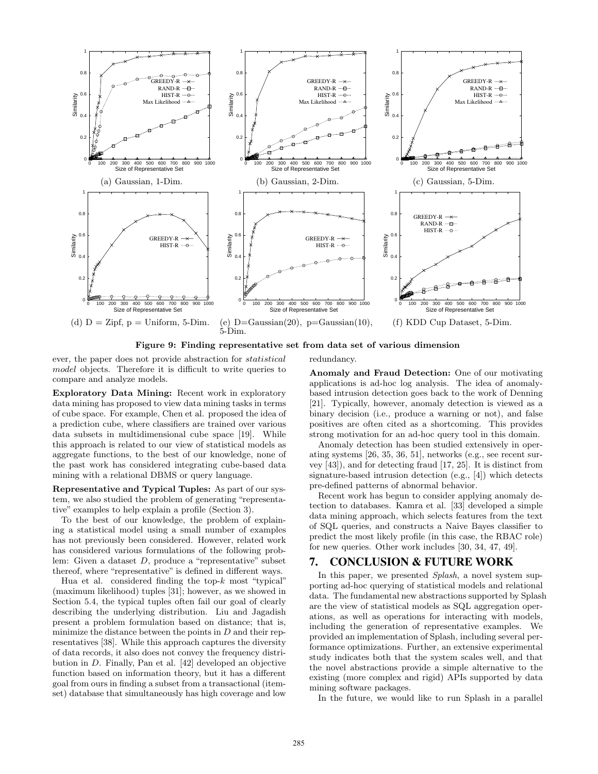

Figure 9: Finding representative set from data set of various dimension

ever, the paper does not provide abstraction for statistical model objects. Therefore it is difficult to write queries to compare and analyze models.

Exploratory Data Mining: Recent work in exploratory data mining has proposed to view data mining tasks in terms of cube space. For example, Chen et al. proposed the idea of a prediction cube, where classifiers are trained over various data subsets in multidimensional cube space [19]. While this approach is related to our view of statistical models as aggregate functions, to the best of our knowledge, none of the past work has considered integrating cube-based data mining with a relational DBMS or query language.

Representative and Typical Tuples: As part of our system, we also studied the problem of generating "representative" examples to help explain a profile (Section 3).

To the best of our knowledge, the problem of explaining a statistical model using a small number of examples has not previously been considered. However, related work has considered various formulations of the following problem: Given a dataset D, produce a "representative" subset thereof, where "representative" is defined in different ways.

Hua et al. considered finding the top- $k$  most "typical" (maximum likelihood) tuples [31]; however, as we showed in Section 5.4, the typical tuples often fail our goal of clearly describing the underlying distribution. Liu and Jagadish present a problem formulation based on distance; that is, minimize the distance between the points in  $D$  and their representatives [38]. While this approach captures the diversity of data records, it also does not convey the frequency distribution in D. Finally, Pan et al. [42] developed an objective function based on information theory, but it has a different goal from ours in finding a subset from a transactional (itemset) database that simultaneously has high coverage and low redundancy.

Anomaly and Fraud Detection: One of our motivating applications is ad-hoc log analysis. The idea of anomalybased intrusion detection goes back to the work of Denning [21]. Typically, however, anomaly detection is viewed as a binary decision (i.e., produce a warning or not), and false positives are often cited as a shortcoming. This provides strong motivation for an ad-hoc query tool in this domain.

Anomaly detection has been studied extensively in operating systems [26, 35, 36, 51], networks (e.g., see recent survey [43]), and for detecting fraud [17, 25]. It is distinct from signature-based intrusion detection (e.g., [4]) which detects pre-defined patterns of abnormal behavior.

Recent work has begun to consider applying anomaly detection to databases. Kamra et al. [33] developed a simple data mining approach, which selects features from the text of SQL queries, and constructs a Naive Bayes classifier to predict the most likely profile (in this case, the RBAC role) for new queries. Other work includes [30, 34, 47, 49].

### 7. CONCLUSION & FUTURE WORK

In this paper, we presented *Splash*, a novel system supporting ad-hoc querying of statistical models and relational data. The fundamental new abstractions supported by Splash are the view of statistical models as SQL aggregation operations, as well as operations for interacting with models, including the generation of representative examples. We provided an implementation of Splash, including several performance optimizations. Further, an extensive experimental study indicates both that the system scales well, and that the novel abstractions provide a simple alternative to the existing (more complex and rigid) APIs supported by data mining software packages.

In the future, we would like to run Splash in a parallel